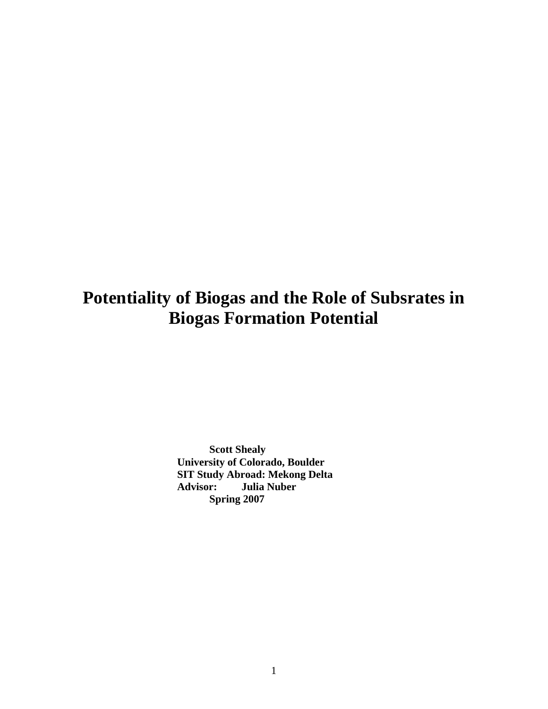# **Potentiality of Biogas and the Role of Subsrates in Biogas Formation Potential**

 **Scott Shealy University of Colorado, Boulder SIT Study Abroad: Mekong Delta Advisor: Julia Nuber Spring 2007**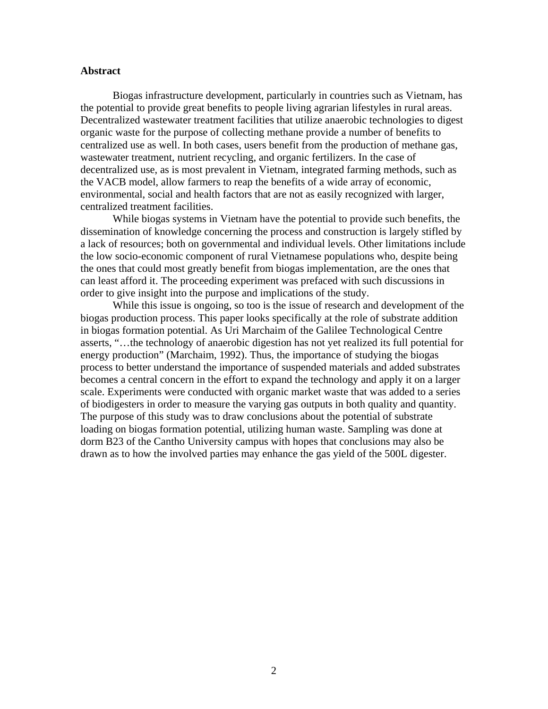#### **Abstract**

Biogas infrastructure development, particularly in countries such as Vietnam, has the potential to provide great benefits to people living agrarian lifestyles in rural areas. Decentralized wastewater treatment facilities that utilize anaerobic technologies to digest organic waste for the purpose of collecting methane provide a number of benefits to centralized use as well. In both cases, users benefit from the production of methane gas, wastewater treatment, nutrient recycling, and organic fertilizers. In the case of decentralized use, as is most prevalent in Vietnam, integrated farming methods, such as the VACB model, allow farmers to reap the benefits of a wide array of economic, environmental, social and health factors that are not as easily recognized with larger, centralized treatment facilities.

 While biogas systems in Vietnam have the potential to provide such benefits, the dissemination of knowledge concerning the process and construction is largely stifled by a lack of resources; both on governmental and individual levels. Other limitations include the low socio-economic component of rural Vietnamese populations who, despite being the ones that could most greatly benefit from biogas implementation, are the ones that can least afford it. The proceeding experiment was prefaced with such discussions in order to give insight into the purpose and implications of the study.

 While this issue is ongoing, so too is the issue of research and development of the biogas production process. This paper looks specifically at the role of substrate addition in biogas formation potential. As Uri Marchaim of the Galilee Technological Centre asserts, "…the technology of anaerobic digestion has not yet realized its full potential for energy production" (Marchaim, 1992). Thus, the importance of studying the biogas process to better understand the importance of suspended materials and added substrates becomes a central concern in the effort to expand the technology and apply it on a larger scale. Experiments were conducted with organic market waste that was added to a series of biodigesters in order to measure the varying gas outputs in both quality and quantity. The purpose of this study was to draw conclusions about the potential of substrate loading on biogas formation potential, utilizing human waste. Sampling was done at dorm B23 of the Cantho University campus with hopes that conclusions may also be drawn as to how the involved parties may enhance the gas yield of the 500L digester.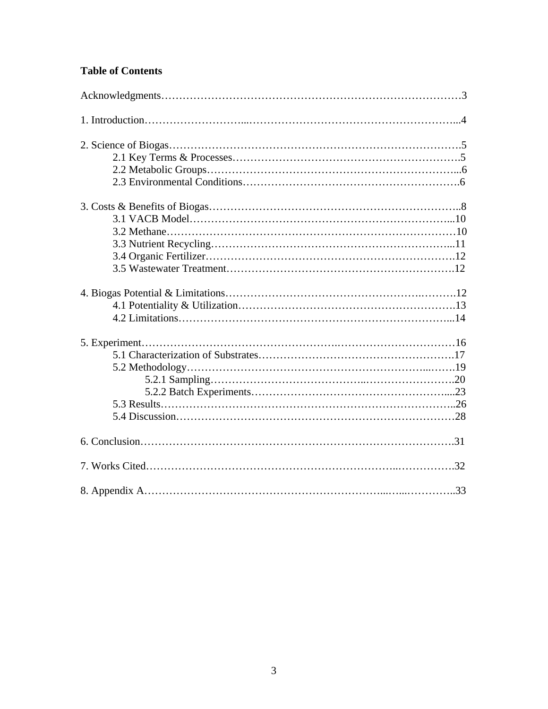## **Table of Contents**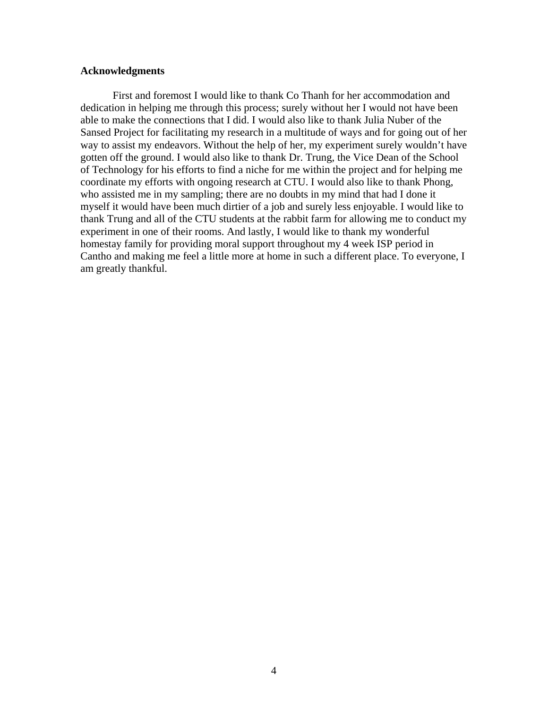#### **Acknowledgments**

 First and foremost I would like to thank Co Thanh for her accommodation and dedication in helping me through this process; surely without her I would not have been able to make the connections that I did. I would also like to thank Julia Nuber of the Sansed Project for facilitating my research in a multitude of ways and for going out of her way to assist my endeavors. Without the help of her, my experiment surely wouldn't have gotten off the ground. I would also like to thank Dr. Trung, the Vice Dean of the School of Technology for his efforts to find a niche for me within the project and for helping me coordinate my efforts with ongoing research at CTU. I would also like to thank Phong, who assisted me in my sampling; there are no doubts in my mind that had I done it myself it would have been much dirtier of a job and surely less enjoyable. I would like to thank Trung and all of the CTU students at the rabbit farm for allowing me to conduct my experiment in one of their rooms. And lastly, I would like to thank my wonderful homestay family for providing moral support throughout my 4 week ISP period in Cantho and making me feel a little more at home in such a different place. To everyone, I am greatly thankful.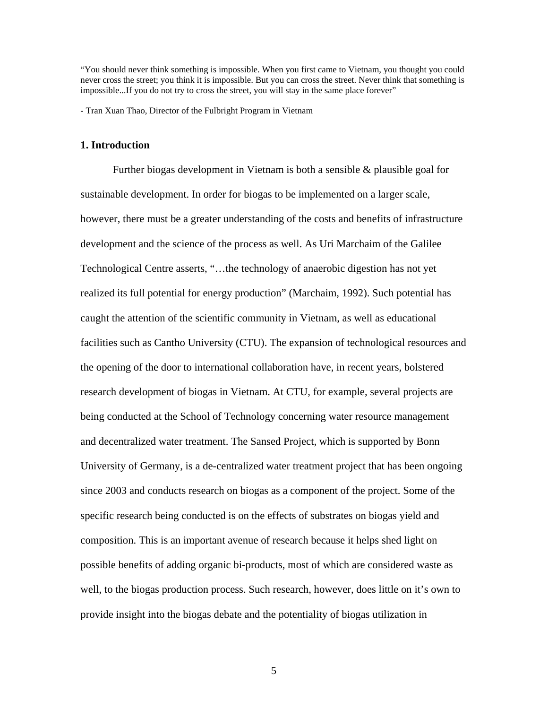"You should never think something is impossible. When you first came to Vietnam, you thought you could never cross the street; you think it is impossible. But you can cross the street. Never think that something is impossible...If you do not try to cross the street, you will stay in the same place forever"

- Tran Xuan Thao, Director of the Fulbright Program in Vietnam

#### **1. Introduction**

Further biogas development in Vietnam is both a sensible  $\&$  plausible goal for sustainable development. In order for biogas to be implemented on a larger scale, however, there must be a greater understanding of the costs and benefits of infrastructure development and the science of the process as well. As Uri Marchaim of the Galilee Technological Centre asserts, "…the technology of anaerobic digestion has not yet realized its full potential for energy production" (Marchaim, 1992). Such potential has caught the attention of the scientific community in Vietnam, as well as educational facilities such as Cantho University (CTU). The expansion of technological resources and the opening of the door to international collaboration have, in recent years, bolstered research development of biogas in Vietnam. At CTU, for example, several projects are being conducted at the School of Technology concerning water resource management and decentralized water treatment. The Sansed Project, which is supported by Bonn University of Germany, is a de-centralized water treatment project that has been ongoing since 2003 and conducts research on biogas as a component of the project. Some of the specific research being conducted is on the effects of substrates on biogas yield and composition. This is an important avenue of research because it helps shed light on possible benefits of adding organic bi-products, most of which are considered waste as well, to the biogas production process. Such research, however, does little on it's own to provide insight into the biogas debate and the potentiality of biogas utilization in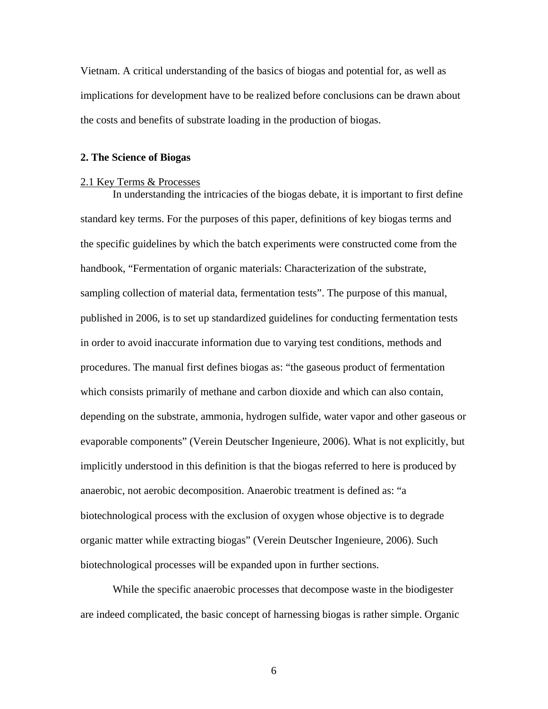Vietnam. A critical understanding of the basics of biogas and potential for, as well as implications for development have to be realized before conclusions can be drawn about the costs and benefits of substrate loading in the production of biogas.

#### **2. The Science of Biogas**

#### 2.1 Key Terms & Processes

In understanding the intricacies of the biogas debate, it is important to first define standard key terms. For the purposes of this paper, definitions of key biogas terms and the specific guidelines by which the batch experiments were constructed come from the handbook, "Fermentation of organic materials: Characterization of the substrate, sampling collection of material data, fermentation tests". The purpose of this manual, published in 2006, is to set up standardized guidelines for conducting fermentation tests in order to avoid inaccurate information due to varying test conditions, methods and procedures. The manual first defines biogas as: "the gaseous product of fermentation which consists primarily of methane and carbon dioxide and which can also contain, depending on the substrate, ammonia, hydrogen sulfide, water vapor and other gaseous or evaporable components" (Verein Deutscher Ingenieure, 2006). What is not explicitly, but implicitly understood in this definition is that the biogas referred to here is produced by anaerobic, not aerobic decomposition. Anaerobic treatment is defined as: "a biotechnological process with the exclusion of oxygen whose objective is to degrade organic matter while extracting biogas" (Verein Deutscher Ingenieure, 2006). Such biotechnological processes will be expanded upon in further sections.

 While the specific anaerobic processes that decompose waste in the biodigester are indeed complicated, the basic concept of harnessing biogas is rather simple. Organic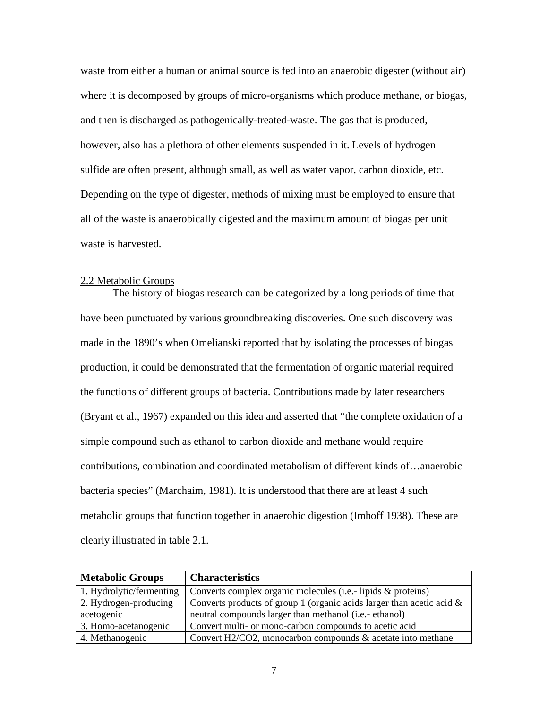waste from either a human or animal source is fed into an anaerobic digester (without air) where it is decomposed by groups of micro-organisms which produce methane, or biogas, and then is discharged as pathogenically-treated-waste. The gas that is produced, however, also has a plethora of other elements suspended in it. Levels of hydrogen sulfide are often present, although small, as well as water vapor, carbon dioxide, etc. Depending on the type of digester, methods of mixing must be employed to ensure that all of the waste is anaerobically digested and the maximum amount of biogas per unit waste is harvested.

#### 2.2 Metabolic Groups

 The history of biogas research can be categorized by a long periods of time that have been punctuated by various groundbreaking discoveries. One such discovery was made in the 1890's when Omelianski reported that by isolating the processes of biogas production, it could be demonstrated that the fermentation of organic material required the functions of different groups of bacteria. Contributions made by later researchers (Bryant et al., 1967) expanded on this idea and asserted that "the complete oxidation of a simple compound such as ethanol to carbon dioxide and methane would require contributions, combination and coordinated metabolism of different kinds of…anaerobic bacteria species" (Marchaim, 1981). It is understood that there are at least 4 such metabolic groups that function together in anaerobic digestion (Imhoff 1938). These are clearly illustrated in table 2.1.

| <b>Metabolic Groups</b>  | <b>Characteristics</b>                                                   |
|--------------------------|--------------------------------------------------------------------------|
| 1. Hydrolytic/fermenting | Converts complex organic molecules (i.e.- lipids & proteins)             |
| 2. Hydrogen-producing    | Converts products of group 1 (organic acids larger than acetic acid $\&$ |
| acetogenic               | neutral compounds larger than methanol (i.e.- ethanol)                   |
| 3. Homo-acetanogenic     | Convert multi- or mono-carbon compounds to acetic acid                   |
| 4. Methanogenic          | Convert H2/CO2, monocarbon compounds $\&$ acetate into methane           |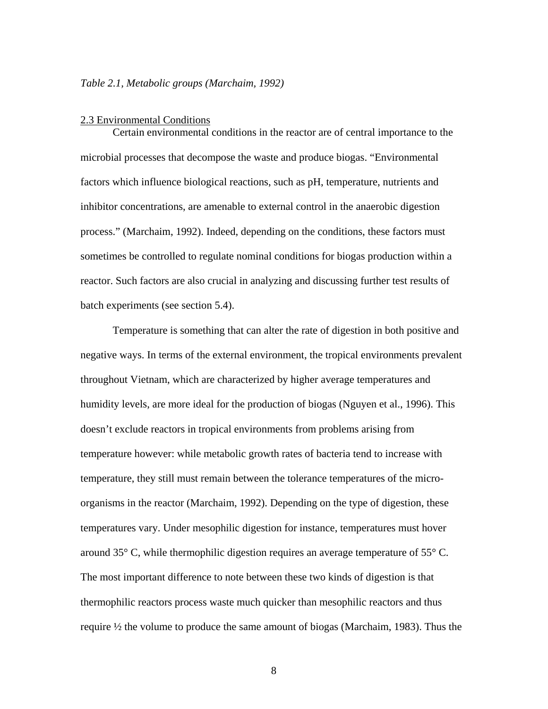#### *Table 2.1, Metabolic groups (Marchaim, 1992)*

#### 2.3 Environmental Conditions

 Certain environmental conditions in the reactor are of central importance to the microbial processes that decompose the waste and produce biogas. "Environmental factors which influence biological reactions, such as pH, temperature, nutrients and inhibitor concentrations, are amenable to external control in the anaerobic digestion process." (Marchaim, 1992). Indeed, depending on the conditions, these factors must sometimes be controlled to regulate nominal conditions for biogas production within a reactor. Such factors are also crucial in analyzing and discussing further test results of batch experiments (see section 5.4).

Temperature is something that can alter the rate of digestion in both positive and negative ways. In terms of the external environment, the tropical environments prevalent throughout Vietnam, which are characterized by higher average temperatures and humidity levels, are more ideal for the production of biogas (Nguyen et al., 1996). This doesn't exclude reactors in tropical environments from problems arising from temperature however: while metabolic growth rates of bacteria tend to increase with temperature, they still must remain between the tolerance temperatures of the microorganisms in the reactor (Marchaim, 1992). Depending on the type of digestion, these temperatures vary. Under mesophilic digestion for instance, temperatures must hover around 35° C, while thermophilic digestion requires an average temperature of 55° C. The most important difference to note between these two kinds of digestion is that thermophilic reactors process waste much quicker than mesophilic reactors and thus require ½ the volume to produce the same amount of biogas (Marchaim, 1983). Thus the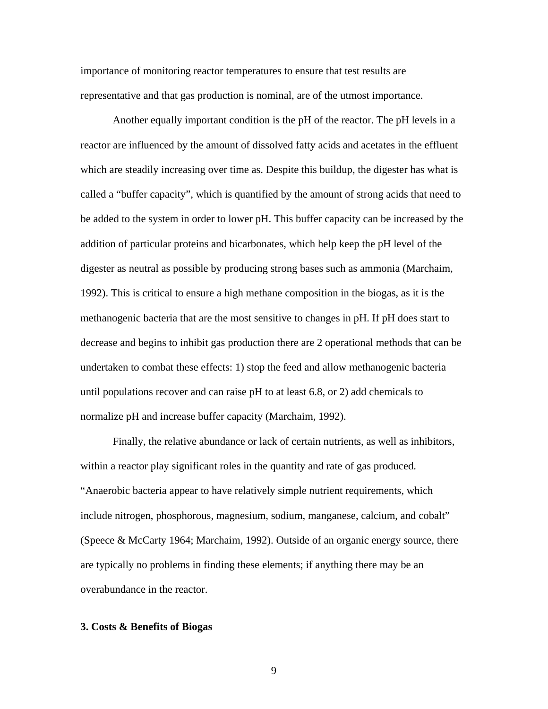importance of monitoring reactor temperatures to ensure that test results are representative and that gas production is nominal, are of the utmost importance.

Another equally important condition is the pH of the reactor. The pH levels in a reactor are influenced by the amount of dissolved fatty acids and acetates in the effluent which are steadily increasing over time as. Despite this buildup, the digester has what is called a "buffer capacity", which is quantified by the amount of strong acids that need to be added to the system in order to lower pH. This buffer capacity can be increased by the addition of particular proteins and bicarbonates, which help keep the pH level of the digester as neutral as possible by producing strong bases such as ammonia (Marchaim, 1992). This is critical to ensure a high methane composition in the biogas, as it is the methanogenic bacteria that are the most sensitive to changes in pH. If pH does start to decrease and begins to inhibit gas production there are 2 operational methods that can be undertaken to combat these effects: 1) stop the feed and allow methanogenic bacteria until populations recover and can raise pH to at least 6.8, or 2) add chemicals to normalize pH and increase buffer capacity (Marchaim, 1992).

Finally, the relative abundance or lack of certain nutrients, as well as inhibitors, within a reactor play significant roles in the quantity and rate of gas produced. "Anaerobic bacteria appear to have relatively simple nutrient requirements, which include nitrogen, phosphorous, magnesium, sodium, manganese, calcium, and cobalt" (Speece & McCarty 1964; Marchaim, 1992). Outside of an organic energy source, there are typically no problems in finding these elements; if anything there may be an overabundance in the reactor.

#### **3. Costs & Benefits of Biogas**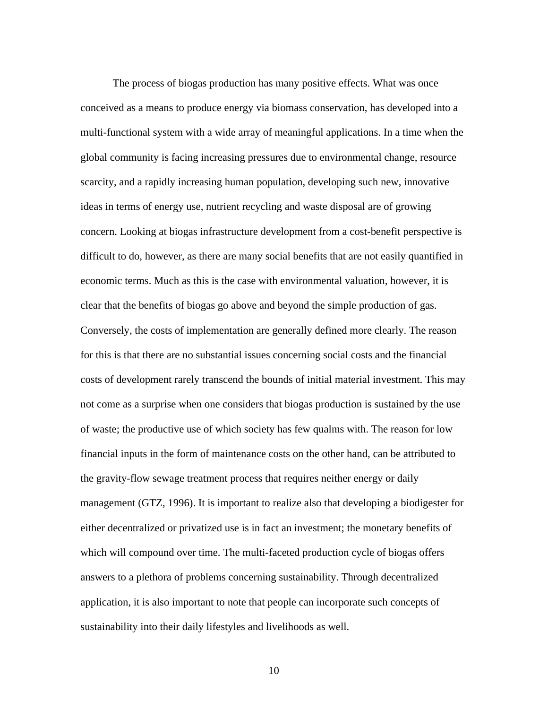The process of biogas production has many positive effects. What was once conceived as a means to produce energy via biomass conservation, has developed into a multi-functional system with a wide array of meaningful applications. In a time when the global community is facing increasing pressures due to environmental change, resource scarcity, and a rapidly increasing human population, developing such new, innovative ideas in terms of energy use, nutrient recycling and waste disposal are of growing concern. Looking at biogas infrastructure development from a cost-benefit perspective is difficult to do, however, as there are many social benefits that are not easily quantified in economic terms. Much as this is the case with environmental valuation, however, it is clear that the benefits of biogas go above and beyond the simple production of gas. Conversely, the costs of implementation are generally defined more clearly. The reason for this is that there are no substantial issues concerning social costs and the financial costs of development rarely transcend the bounds of initial material investment. This may not come as a surprise when one considers that biogas production is sustained by the use of waste; the productive use of which society has few qualms with. The reason for low financial inputs in the form of maintenance costs on the other hand, can be attributed to the gravity-flow sewage treatment process that requires neither energy or daily management (GTZ, 1996). It is important to realize also that developing a biodigester for either decentralized or privatized use is in fact an investment; the monetary benefits of which will compound over time. The multi-faceted production cycle of biogas offers answers to a plethora of problems concerning sustainability. Through decentralized application, it is also important to note that people can incorporate such concepts of sustainability into their daily lifestyles and livelihoods as well.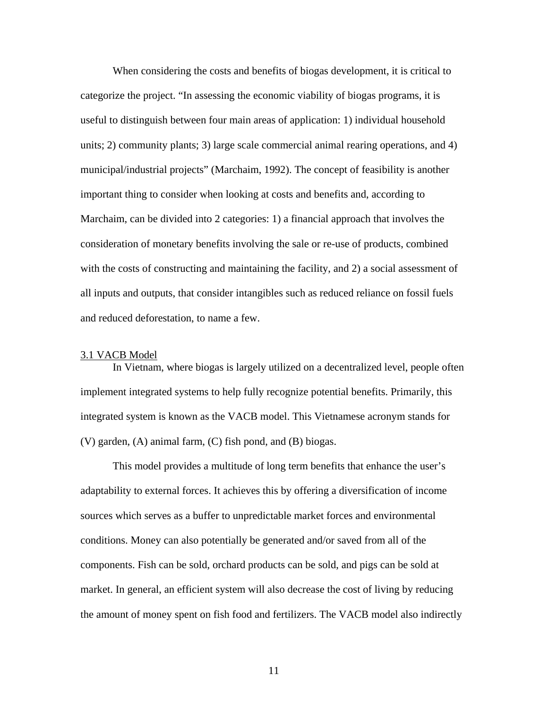When considering the costs and benefits of biogas development, it is critical to categorize the project. "In assessing the economic viability of biogas programs, it is useful to distinguish between four main areas of application: 1) individual household units; 2) community plants; 3) large scale commercial animal rearing operations, and 4) municipal/industrial projects" (Marchaim, 1992). The concept of feasibility is another important thing to consider when looking at costs and benefits and, according to Marchaim, can be divided into 2 categories: 1) a financial approach that involves the consideration of monetary benefits involving the sale or re-use of products, combined with the costs of constructing and maintaining the facility, and 2) a social assessment of all inputs and outputs, that consider intangibles such as reduced reliance on fossil fuels and reduced deforestation, to name a few.

#### 3.1 VACB Model

In Vietnam, where biogas is largely utilized on a decentralized level, people often implement integrated systems to help fully recognize potential benefits. Primarily, this integrated system is known as the VACB model. This Vietnamese acronym stands for (V) garden, (A) animal farm, (C) fish pond, and (B) biogas.

This model provides a multitude of long term benefits that enhance the user's adaptability to external forces. It achieves this by offering a diversification of income sources which serves as a buffer to unpredictable market forces and environmental conditions. Money can also potentially be generated and/or saved from all of the components. Fish can be sold, orchard products can be sold, and pigs can be sold at market. In general, an efficient system will also decrease the cost of living by reducing the amount of money spent on fish food and fertilizers. The VACB model also indirectly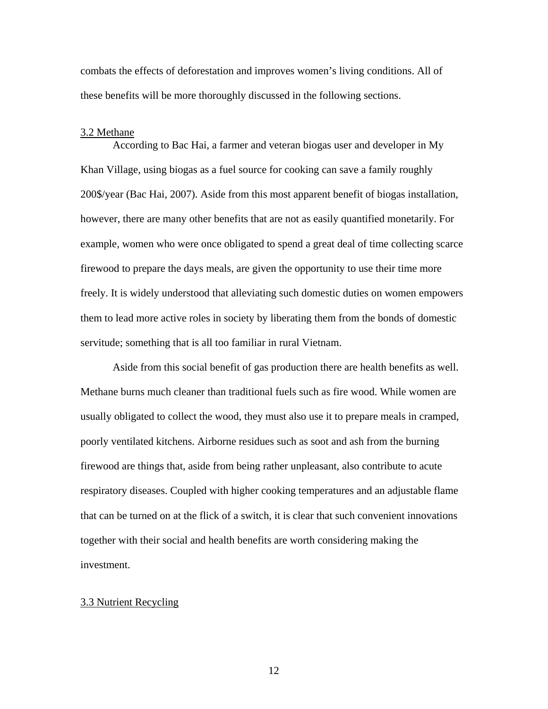combats the effects of deforestation and improves women's living conditions. All of these benefits will be more thoroughly discussed in the following sections.

#### 3.2 Methane

According to Bac Hai, a farmer and veteran biogas user and developer in My Khan Village, using biogas as a fuel source for cooking can save a family roughly 200\$/year (Bac Hai, 2007). Aside from this most apparent benefit of biogas installation, however, there are many other benefits that are not as easily quantified monetarily. For example, women who were once obligated to spend a great deal of time collecting scarce firewood to prepare the days meals, are given the opportunity to use their time more freely. It is widely understood that alleviating such domestic duties on women empowers them to lead more active roles in society by liberating them from the bonds of domestic servitude; something that is all too familiar in rural Vietnam.

 Aside from this social benefit of gas production there are health benefits as well. Methane burns much cleaner than traditional fuels such as fire wood. While women are usually obligated to collect the wood, they must also use it to prepare meals in cramped, poorly ventilated kitchens. Airborne residues such as soot and ash from the burning firewood are things that, aside from being rather unpleasant, also contribute to acute respiratory diseases. Coupled with higher cooking temperatures and an adjustable flame that can be turned on at the flick of a switch, it is clear that such convenient innovations together with their social and health benefits are worth considering making the investment.

#### 3.3 Nutrient Recycling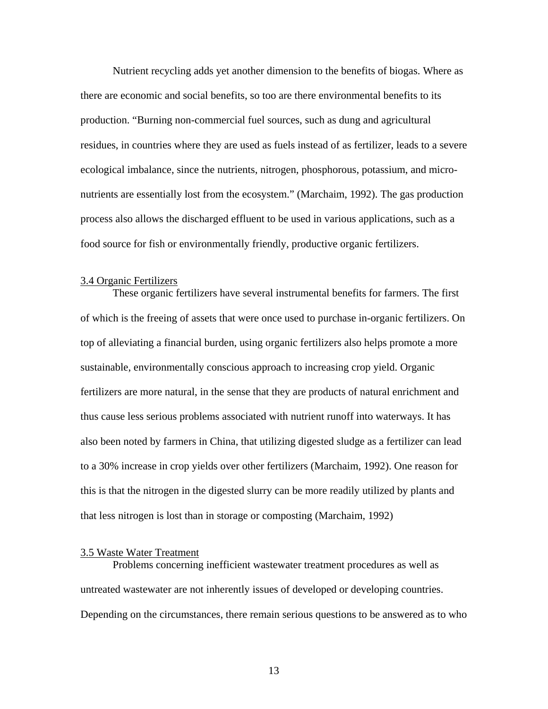Nutrient recycling adds yet another dimension to the benefits of biogas. Where as there are economic and social benefits, so too are there environmental benefits to its production. "Burning non-commercial fuel sources, such as dung and agricultural residues, in countries where they are used as fuels instead of as fertilizer, leads to a severe ecological imbalance, since the nutrients, nitrogen, phosphorous, potassium, and micronutrients are essentially lost from the ecosystem." (Marchaim, 1992). The gas production process also allows the discharged effluent to be used in various applications, such as a food source for fish or environmentally friendly, productive organic fertilizers.

#### 3.4 Organic Fertilizers

 These organic fertilizers have several instrumental benefits for farmers. The first of which is the freeing of assets that were once used to purchase in-organic fertilizers. On top of alleviating a financial burden, using organic fertilizers also helps promote a more sustainable, environmentally conscious approach to increasing crop yield. Organic fertilizers are more natural, in the sense that they are products of natural enrichment and thus cause less serious problems associated with nutrient runoff into waterways. It has also been noted by farmers in China, that utilizing digested sludge as a fertilizer can lead to a 30% increase in crop yields over other fertilizers (Marchaim, 1992). One reason for this is that the nitrogen in the digested slurry can be more readily utilized by plants and that less nitrogen is lost than in storage or composting (Marchaim, 1992)

#### 3.5 Waste Water Treatment

 Problems concerning inefficient wastewater treatment procedures as well as untreated wastewater are not inherently issues of developed or developing countries. Depending on the circumstances, there remain serious questions to be answered as to who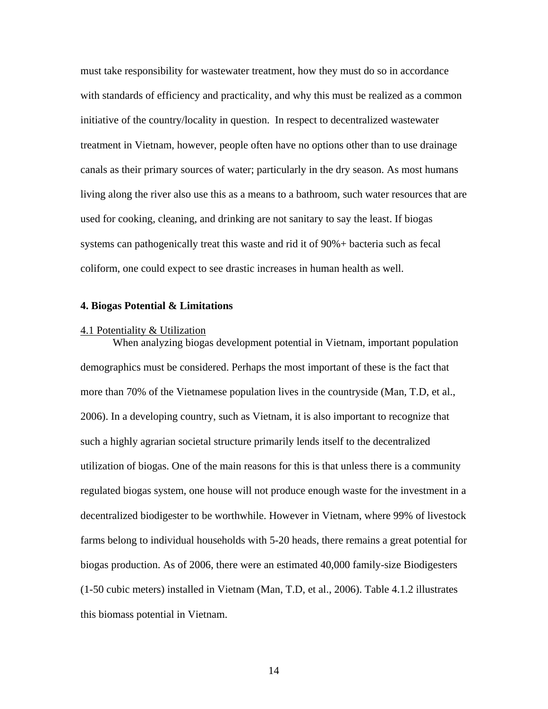must take responsibility for wastewater treatment, how they must do so in accordance with standards of efficiency and practicality, and why this must be realized as a common initiative of the country/locality in question. In respect to decentralized wastewater treatment in Vietnam, however, people often have no options other than to use drainage canals as their primary sources of water; particularly in the dry season. As most humans living along the river also use this as a means to a bathroom, such water resources that are used for cooking, cleaning, and drinking are not sanitary to say the least. If biogas systems can pathogenically treat this waste and rid it of 90%+ bacteria such as fecal coliform, one could expect to see drastic increases in human health as well.

#### **4. Biogas Potential & Limitations**

#### 4.1 Potentiality & Utilization

 When analyzing biogas development potential in Vietnam, important population demographics must be considered. Perhaps the most important of these is the fact that more than 70% of the Vietnamese population lives in the countryside (Man, T.D, et al., 2006). In a developing country, such as Vietnam, it is also important to recognize that such a highly agrarian societal structure primarily lends itself to the decentralized utilization of biogas. One of the main reasons for this is that unless there is a community regulated biogas system, one house will not produce enough waste for the investment in a decentralized biodigester to be worthwhile. However in Vietnam, where 99% of livestock farms belong to individual households with 5-20 heads, there remains a great potential for biogas production. As of 2006, there were an estimated 40,000 family-size Biodigesters (1-50 cubic meters) installed in Vietnam (Man, T.D, et al., 2006). Table 4.1.2 illustrates this biomass potential in Vietnam.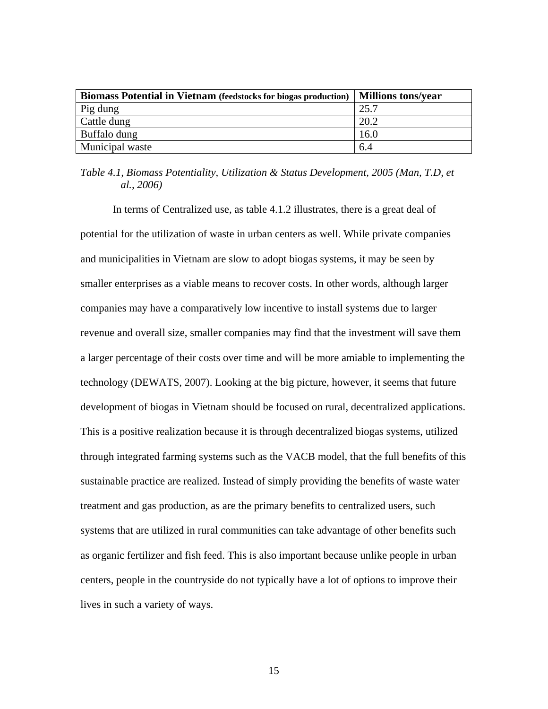| <b>Biomass Potential in Vietnam</b> (feedstocks for biogas production) | <b>Millions tons/year</b> |
|------------------------------------------------------------------------|---------------------------|
| Pig dung                                                               | 25.7                      |
| Cattle dung                                                            | 20.2                      |
| Buffalo dung                                                           | 16.0                      |
| Municipal waste                                                        | 6.4                       |

## *Table 4.1, Biomass Potentiality, Utilization & Status Development, 2005 (Man, T.D, et al., 2006)*

 In terms of Centralized use, as table 4.1.2 illustrates, there is a great deal of potential for the utilization of waste in urban centers as well. While private companies and municipalities in Vietnam are slow to adopt biogas systems, it may be seen by smaller enterprises as a viable means to recover costs. In other words, although larger companies may have a comparatively low incentive to install systems due to larger revenue and overall size, smaller companies may find that the investment will save them a larger percentage of their costs over time and will be more amiable to implementing the technology (DEWATS, 2007). Looking at the big picture, however, it seems that future development of biogas in Vietnam should be focused on rural, decentralized applications. This is a positive realization because it is through decentralized biogas systems, utilized through integrated farming systems such as the VACB model, that the full benefits of this sustainable practice are realized. Instead of simply providing the benefits of waste water treatment and gas production, as are the primary benefits to centralized users, such systems that are utilized in rural communities can take advantage of other benefits such as organic fertilizer and fish feed. This is also important because unlike people in urban centers, people in the countryside do not typically have a lot of options to improve their lives in such a variety of ways.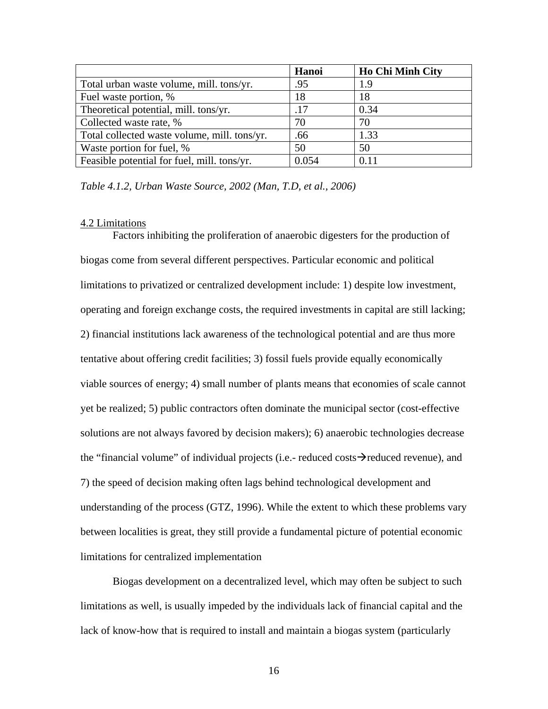|                                              | Hanoi | <b>Ho Chi Minh City</b> |
|----------------------------------------------|-------|-------------------------|
| Total urban waste volume, mill. tons/yr.     | .95   | 1.9                     |
| Fuel waste portion, %                        | 18    | 18                      |
| Theoretical potential, mill. tons/yr.        | .17   | 0.34                    |
| Collected waste rate, %                      | 70    | 70                      |
| Total collected waste volume, mill. tons/yr. | .66   | 1.33                    |
| Waste portion for fuel, %                    | 50    | 50                      |
| Feasible potential for fuel, mill. tons/yr.  | 0.054 | 0.11                    |

*Table 4.1.2, Urban Waste Source, 2002 (Man, T.D, et al., 2006)* 

#### 4.2 Limitations

 Factors inhibiting the proliferation of anaerobic digesters for the production of biogas come from several different perspectives. Particular economic and political limitations to privatized or centralized development include: 1) despite low investment, operating and foreign exchange costs, the required investments in capital are still lacking; 2) financial institutions lack awareness of the technological potential and are thus more tentative about offering credit facilities; 3) fossil fuels provide equally economically viable sources of energy; 4) small number of plants means that economies of scale cannot yet be realized; 5) public contractors often dominate the municipal sector (cost-effective solutions are not always favored by decision makers); 6) anaerobic technologies decrease the "financial volume" of individual projects (i.e.- reduced costs $\rightarrow$  reduced revenue), and 7) the speed of decision making often lags behind technological development and understanding of the process (GTZ, 1996). While the extent to which these problems vary between localities is great, they still provide a fundamental picture of potential economic limitations for centralized implementation

 Biogas development on a decentralized level, which may often be subject to such limitations as well, is usually impeded by the individuals lack of financial capital and the lack of know-how that is required to install and maintain a biogas system (particularly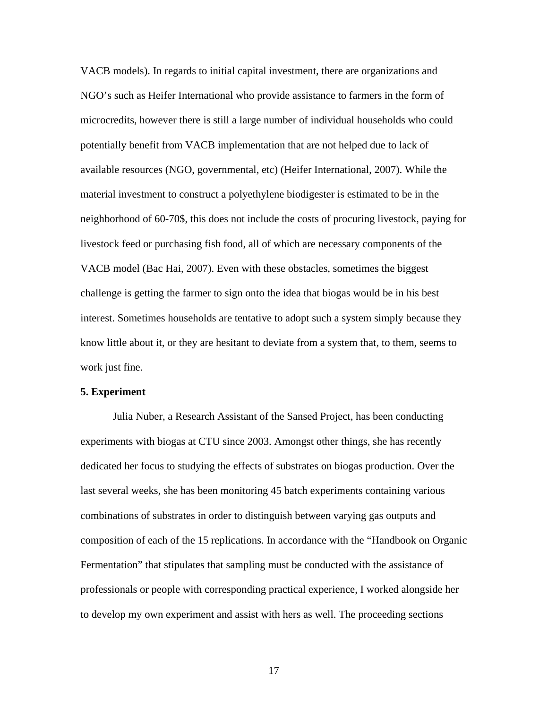VACB models). In regards to initial capital investment, there are organizations and NGO's such as Heifer International who provide assistance to farmers in the form of microcredits, however there is still a large number of individual households who could potentially benefit from VACB implementation that are not helped due to lack of available resources (NGO, governmental, etc) (Heifer International, 2007). While the material investment to construct a polyethylene biodigester is estimated to be in the neighborhood of 60-70\$, this does not include the costs of procuring livestock, paying for livestock feed or purchasing fish food, all of which are necessary components of the VACB model (Bac Hai, 2007). Even with these obstacles, sometimes the biggest challenge is getting the farmer to sign onto the idea that biogas would be in his best interest. Sometimes households are tentative to adopt such a system simply because they know little about it, or they are hesitant to deviate from a system that, to them, seems to work just fine.

#### **5. Experiment**

 Julia Nuber, a Research Assistant of the Sansed Project, has been conducting experiments with biogas at CTU since 2003. Amongst other things, she has recently dedicated her focus to studying the effects of substrates on biogas production. Over the last several weeks, she has been monitoring 45 batch experiments containing various combinations of substrates in order to distinguish between varying gas outputs and composition of each of the 15 replications. In accordance with the "Handbook on Organic Fermentation" that stipulates that sampling must be conducted with the assistance of professionals or people with corresponding practical experience, I worked alongside her to develop my own experiment and assist with hers as well. The proceeding sections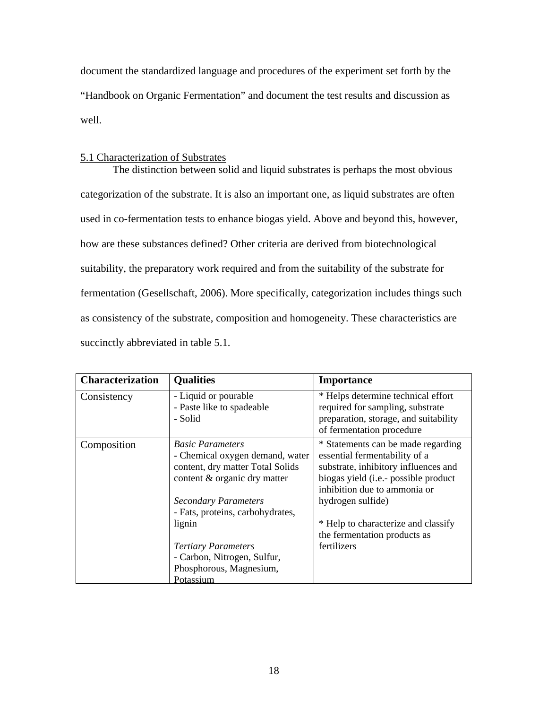document the standardized language and procedures of the experiment set forth by the "Handbook on Organic Fermentation" and document the test results and discussion as well.

## 5.1 Characterization of Substrates

 The distinction between solid and liquid substrates is perhaps the most obvious categorization of the substrate. It is also an important one, as liquid substrates are often used in co-fermentation tests to enhance biogas yield. Above and beyond this, however, how are these substances defined? Other criteria are derived from biotechnological suitability, the preparatory work required and from the suitability of the substrate for fermentation (Gesellschaft, 2006). More specifically, categorization includes things such as consistency of the substrate, composition and homogeneity. These characteristics are succinctly abbreviated in table 5.1.

| <b>Characterization</b> | <b>Qualities</b>                                                                                                                                              | <b>Importance</b>                                                                                                                                                                                        |
|-------------------------|---------------------------------------------------------------------------------------------------------------------------------------------------------------|----------------------------------------------------------------------------------------------------------------------------------------------------------------------------------------------------------|
| Consistency             | - Liquid or pourable<br>- Paste like to spadeable<br>- Solid                                                                                                  | * Helps determine technical effort<br>required for sampling, substrate<br>preparation, storage, and suitability<br>of fermentation procedure                                                             |
| Composition             | <b>Basic Parameters</b><br>- Chemical oxygen demand, water<br>content, dry matter Total Solids<br>content & organic dry matter<br><b>Secondary Parameters</b> | * Statements can be made regarding<br>essential fermentability of a<br>substrate, inhibitory influences and<br>biogas yield (i.e.- possible product<br>inhibition due to ammonia or<br>hydrogen sulfide) |
|                         | - Fats, proteins, carbohydrates,<br>lignin<br><b>Tertiary Parameters</b><br>- Carbon, Nitrogen, Sulfur,<br>Phosphorous, Magnesium,<br>Potassium               | * Help to characterize and classify<br>the fermentation products as<br>fertilizers                                                                                                                       |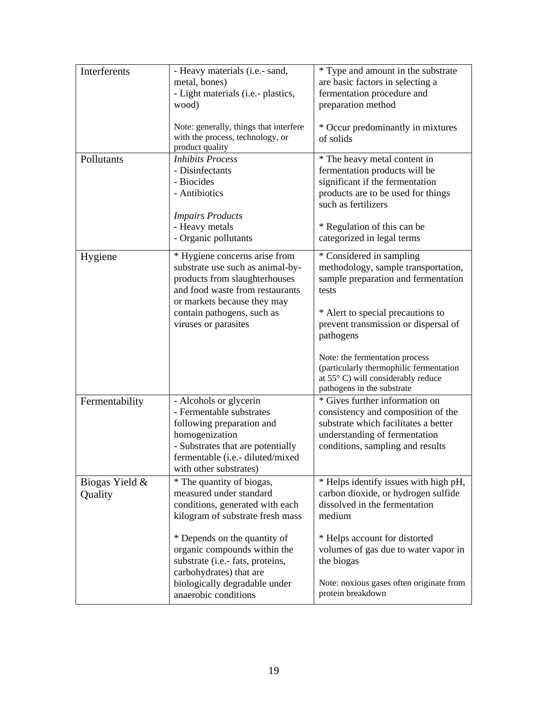| Interferents              | - Heavy materials (i.e.- sand,<br>metal, bones)<br>- Light materials (i.e.- plastics,<br>wood)<br>Note: generally, things that interfere<br>with the process, technology, or<br>product quality                            | * Type and amount in the substrate<br>are basic factors in selecting a<br>fermentation procedure and<br>preparation method<br>* Occur predominantly in mixtures<br>of solids                                                                                                                                                                               |
|---------------------------|----------------------------------------------------------------------------------------------------------------------------------------------------------------------------------------------------------------------------|------------------------------------------------------------------------------------------------------------------------------------------------------------------------------------------------------------------------------------------------------------------------------------------------------------------------------------------------------------|
| Pollutants                | <b>Inhibits Process</b><br>- Disinfectants<br>- Biocides<br>- Antibiotics<br><b>Impairs Products</b><br>- Heavy metals<br>- Organic pollutants                                                                             | * The heavy metal content in<br>fermentation products will be<br>significant if the fermentation<br>products are to be used for things<br>such as fertilizers<br>* Regulation of this can be<br>categorized in legal terms                                                                                                                                 |
| Hygiene                   | * Hygiene concerns arise from<br>substrate use such as animal-by-<br>products from slaughterhouses<br>and food waste from restaurants<br>or markets because they may<br>contain pathogens, such as<br>viruses or parasites | * Considered in sampling<br>methodology, sample transportation,<br>sample preparation and fermentation<br>tests<br>* Alert to special precautions to<br>prevent transmission or dispersal of<br>pathogens<br>Note: the fermentation process<br>(particularly thermophilic fermentation<br>at 55° C) will considerably reduce<br>pathogens in the substrate |
| Fermentability            | - Alcohols or glycerin<br>- Fermentable substrates<br>following preparation and<br>homogenization<br>- Substrates that are potentially<br>fermentable (i.e.- diluted/mixed<br>with other substrates)                       | * Gives further information on<br>consistency and composition of the<br>substrate which facilitates a better<br>understanding of fermentation<br>conditions, sampling and results                                                                                                                                                                          |
| Biogas Yield &<br>Quality | * The quantity of biogas,<br>measured under standard<br>conditions, generated with each<br>kilogram of substrate fresh mass<br>* Depends on the quantity of                                                                | * Helps identify issues with high pH,<br>carbon dioxide, or hydrogen sulfide<br>dissolved in the fermentation<br>medium<br>* Helps account for distorted                                                                                                                                                                                                   |
|                           | organic compounds within the<br>substrate (i.e.- fats, proteins,<br>carbohydrates) that are<br>biologically degradable under<br>anaerobic conditions                                                                       | volumes of gas due to water vapor in<br>the biogas<br>Note: noxious gases often originate from<br>protein breakdown                                                                                                                                                                                                                                        |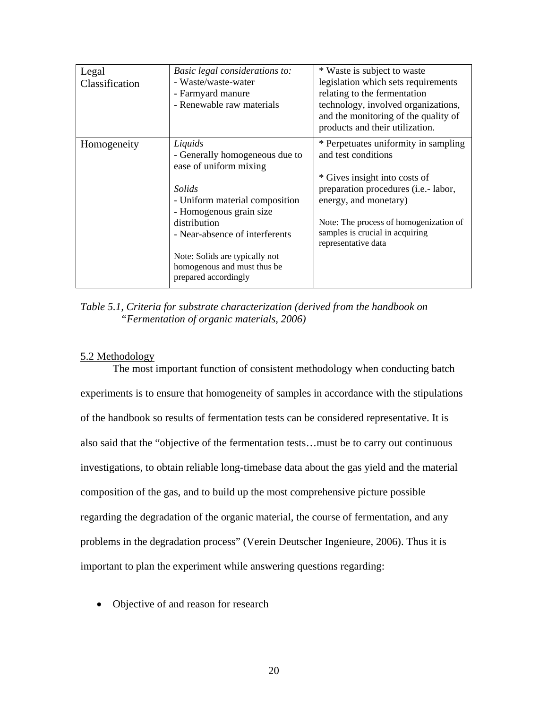| Legal<br>Classification | Basic legal considerations to:<br>- Waste/waste-water<br>- Farmyard manure<br>- Renewable raw materials                                                                                                                                                                               | * Waste is subject to waste<br>legislation which sets requirements<br>relating to the fermentation<br>technology, involved organizations,<br>and the monitoring of the quality of<br>products and their utilization.                                              |
|-------------------------|---------------------------------------------------------------------------------------------------------------------------------------------------------------------------------------------------------------------------------------------------------------------------------------|-------------------------------------------------------------------------------------------------------------------------------------------------------------------------------------------------------------------------------------------------------------------|
| Homogeneity             | Liquids<br>- Generally homogeneous due to<br>ease of uniform mixing<br>Solids<br>- Uniform material composition<br>- Homogenous grain size<br>distribution<br>- Near-absence of interferents<br>Note: Solids are typically not<br>homogenous and must thus be<br>prepared accordingly | * Perpetuates uniformity in sampling<br>and test conditions<br>* Gives insight into costs of<br>preparation procedures (i.e.- labor,<br>energy, and monetary)<br>Note: The process of homogenization of<br>samples is crucial in acquiring<br>representative data |

*Table 5.1, Criteria for substrate characterization (derived from the handbook on "Fermentation of organic materials, 2006)* 

## 5.2 Methodology

 The most important function of consistent methodology when conducting batch experiments is to ensure that homogeneity of samples in accordance with the stipulations of the handbook so results of fermentation tests can be considered representative. It is also said that the "objective of the fermentation tests…must be to carry out continuous investigations, to obtain reliable long-timebase data about the gas yield and the material composition of the gas, and to build up the most comprehensive picture possible regarding the degradation of the organic material, the course of fermentation, and any problems in the degradation process" (Verein Deutscher Ingenieure, 2006). Thus it is important to plan the experiment while answering questions regarding:

• Objective of and reason for research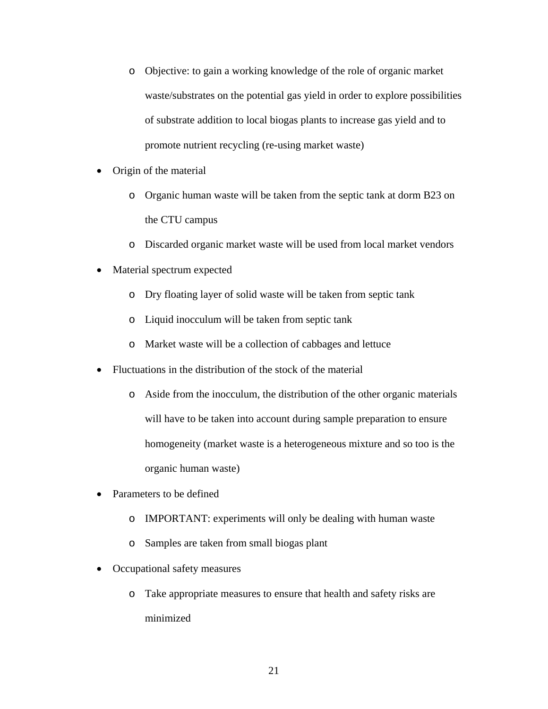- o Objective: to gain a working knowledge of the role of organic market waste/substrates on the potential gas yield in order to explore possibilities of substrate addition to local biogas plants to increase gas yield and to promote nutrient recycling (re-using market waste)
- Origin of the material
	- o Organic human waste will be taken from the septic tank at dorm B23 on the CTU campus
	- o Discarded organic market waste will be used from local market vendors
- Material spectrum expected
	- o Dry floating layer of solid waste will be taken from septic tank
	- o Liquid inocculum will be taken from septic tank
	- o Market waste will be a collection of cabbages and lettuce
- Fluctuations in the distribution of the stock of the material
	- o Aside from the inocculum, the distribution of the other organic materials will have to be taken into account during sample preparation to ensure homogeneity (market waste is a heterogeneous mixture and so too is the organic human waste)
- Parameters to be defined
	- o IMPORTANT: experiments will only be dealing with human waste
	- o Samples are taken from small biogas plant
- Occupational safety measures
	- o Take appropriate measures to ensure that health and safety risks are minimized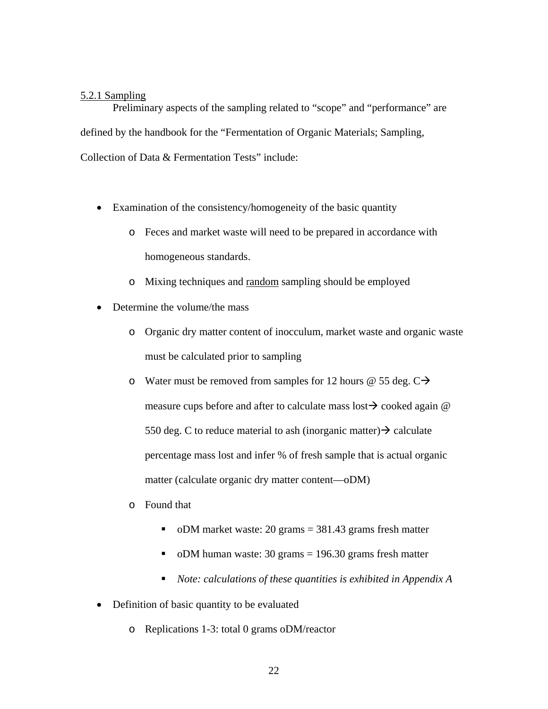## 5.2.1 Sampling

 Preliminary aspects of the sampling related to "scope" and "performance" are defined by the handbook for the "Fermentation of Organic Materials; Sampling, Collection of Data & Fermentation Tests" include:

- Examination of the consistency/homogeneity of the basic quantity
	- o Feces and market waste will need to be prepared in accordance with homogeneous standards.
	- o Mixing techniques and random sampling should be employed
- Determine the volume/the mass
	- o Organic dry matter content of inocculum, market waste and organic waste must be calculated prior to sampling
	- o Water must be removed from samples for 12 hours @ 55 deg.  $C\rightarrow$ measure cups before and after to calculate mass lost  $\rightarrow$  cooked again @ 550 deg. C to reduce material to ash (inorganic matter)  $\rightarrow$  calculate percentage mass lost and infer % of fresh sample that is actual organic matter (calculate organic dry matter content—oDM)
	- o Found that
		- oDM market waste: 20 grams  $=$  381.43 grams fresh matter
		- oDM human waste: 30 grams  $= 196.30$  grams fresh matter
		- *Note: calculations of these quantities is exhibited in Appendix A*
- Definition of basic quantity to be evaluated
	- o Replications 1-3: total 0 grams oDM/reactor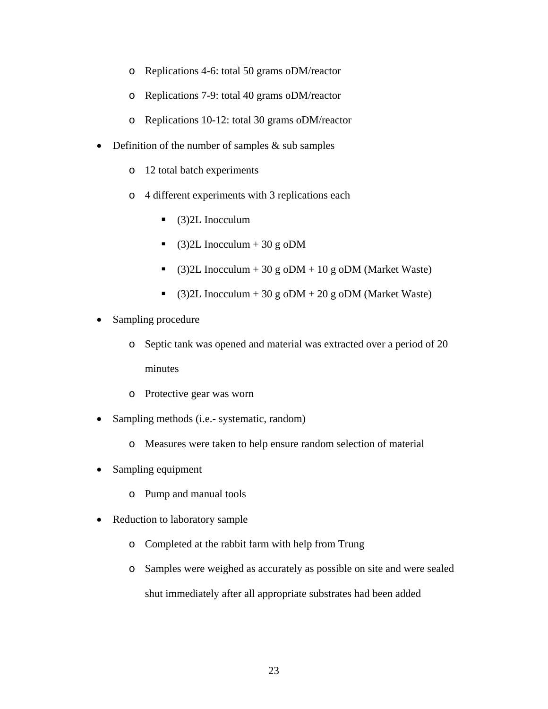- o Replications 4-6: total 50 grams oDM/reactor
- o Replications 7-9: total 40 grams oDM/reactor
- o Replications 10-12: total 30 grams oDM/reactor
- Definition of the number of samples & sub samples
	- o 12 total batch experiments
	- o 4 different experiments with 3 replications each
		- $\bullet$  (3) 2L Inocculum
		- $\bullet$  (3)2L Inocculum + 30 g oDM
		- (3)2L Inocculum + 30 g oDM + 10 g oDM (Market Waste)
		- $\bullet$  (3)2L Inocculum + 30 g oDM + 20 g oDM (Market Waste)
- Sampling procedure
	- o Septic tank was opened and material was extracted over a period of 20 minutes
	- o Protective gear was worn
- Sampling methods (i.e.- systematic, random)
	- o Measures were taken to help ensure random selection of material
- Sampling equipment
	- o Pump and manual tools
- Reduction to laboratory sample
	- o Completed at the rabbit farm with help from Trung
	- o Samples were weighed as accurately as possible on site and were sealed shut immediately after all appropriate substrates had been added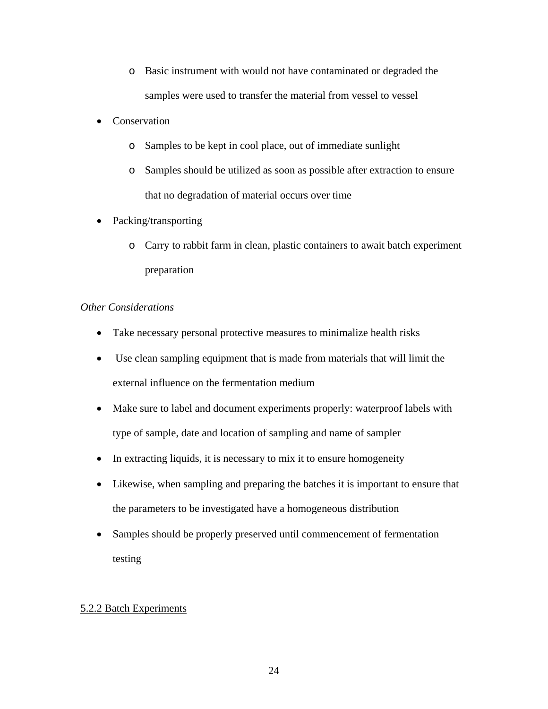- o Basic instrument with would not have contaminated or degraded the samples were used to transfer the material from vessel to vessel
- Conservation
	- o Samples to be kept in cool place, out of immediate sunlight
	- o Samples should be utilized as soon as possible after extraction to ensure that no degradation of material occurs over time
- Packing/transporting
	- o Carry to rabbit farm in clean, plastic containers to await batch experiment preparation

## *Other Considerations*

- Take necessary personal protective measures to minimalize health risks
- Use clean sampling equipment that is made from materials that will limit the external influence on the fermentation medium
- Make sure to label and document experiments properly: waterproof labels with type of sample, date and location of sampling and name of sampler
- In extracting liquids, it is necessary to mix it to ensure homogeneity
- Likewise, when sampling and preparing the batches it is important to ensure that the parameters to be investigated have a homogeneous distribution
- Samples should be properly preserved until commencement of fermentation testing

## 5.2.2 Batch Experiments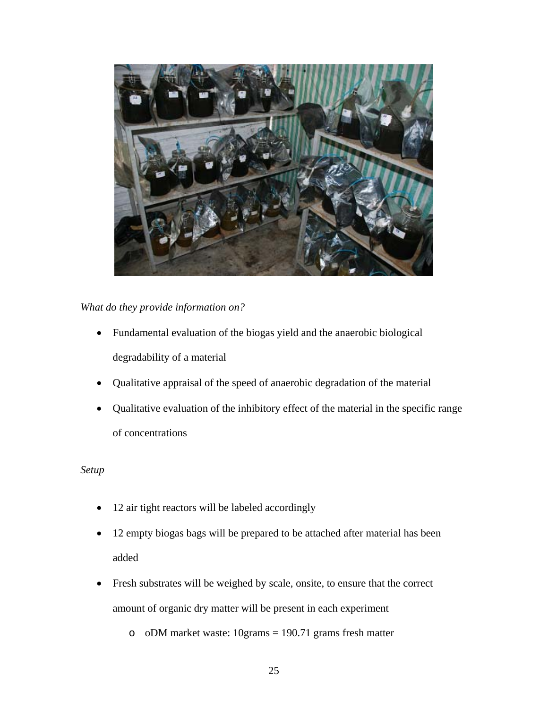

## *What do they provide information on?*

- Fundamental evaluation of the biogas yield and the anaerobic biological degradability of a material
- Qualitative appraisal of the speed of anaerobic degradation of the material
- Qualitative evaluation of the inhibitory effect of the material in the specific range of concentrations

## *Setup*

- 12 air tight reactors will be labeled accordingly
- 12 empty biogas bags will be prepared to be attached after material has been added
- Fresh substrates will be weighed by scale, onsite, to ensure that the correct amount of organic dry matter will be present in each experiment

o oDM market waste: 10grams = 190.71 grams fresh matter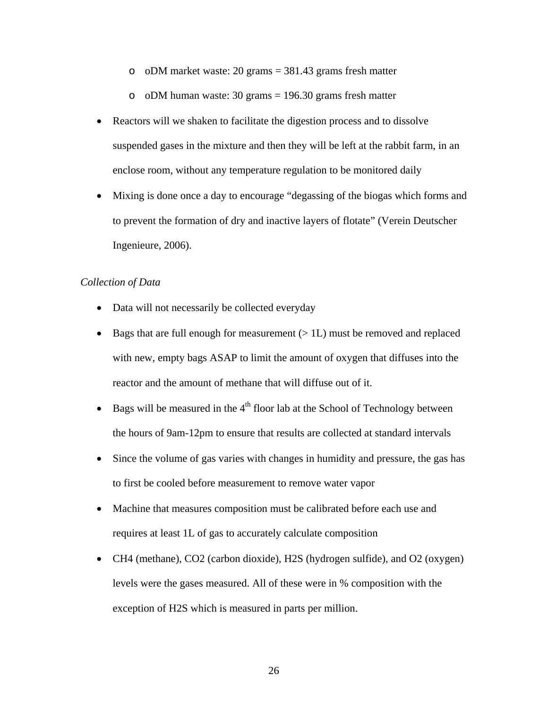o oDM market waste: 20 grams  $= 381.43$  grams fresh matter

o oDM human waste:  $30 \text{ grams} = 196.30 \text{ grams}$  fresh matter

- Reactors will we shaken to facilitate the digestion process and to dissolve suspended gases in the mixture and then they will be left at the rabbit farm, in an enclose room, without any temperature regulation to be monitored daily
- Mixing is done once a day to encourage "degassing of the biogas which forms and to prevent the formation of dry and inactive layers of flotate" (Verein Deutscher Ingenieure, 2006).

## *Collection of Data*

- Data will not necessarily be collected everyday
- Bags that are full enough for measurement  $(>1L)$  must be removed and replaced with new, empty bags ASAP to limit the amount of oxygen that diffuses into the reactor and the amount of methane that will diffuse out of it.
- Bags will be measured in the  $4<sup>th</sup>$  floor lab at the School of Technology between the hours of 9am-12pm to ensure that results are collected at standard intervals
- Since the volume of gas varies with changes in humidity and pressure, the gas has to first be cooled before measurement to remove water vapor
- Machine that measures composition must be calibrated before each use and requires at least 1L of gas to accurately calculate composition
- CH4 (methane), CO2 (carbon dioxide), H2S (hydrogen sulfide), and O2 (oxygen) levels were the gases measured. All of these were in % composition with the exception of H2S which is measured in parts per million.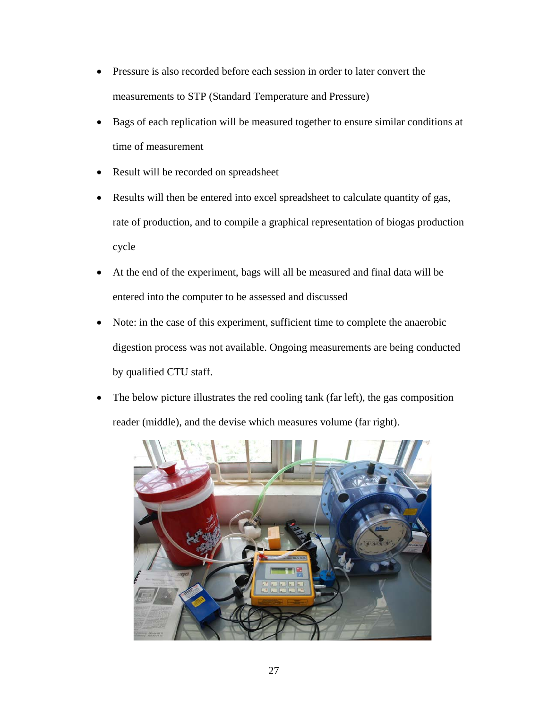- Pressure is also recorded before each session in order to later convert the measurements to STP (Standard Temperature and Pressure)
- Bags of each replication will be measured together to ensure similar conditions at time of measurement
- Result will be recorded on spreadsheet
- Results will then be entered into excel spreadsheet to calculate quantity of gas, rate of production, and to compile a graphical representation of biogas production cycle
- At the end of the experiment, bags will all be measured and final data will be entered into the computer to be assessed and discussed
- Note: in the case of this experiment, sufficient time to complete the anaerobic digestion process was not available. Ongoing measurements are being conducted by qualified CTU staff.
- The below picture illustrates the red cooling tank (far left), the gas composition reader (middle), and the devise which measures volume (far right).

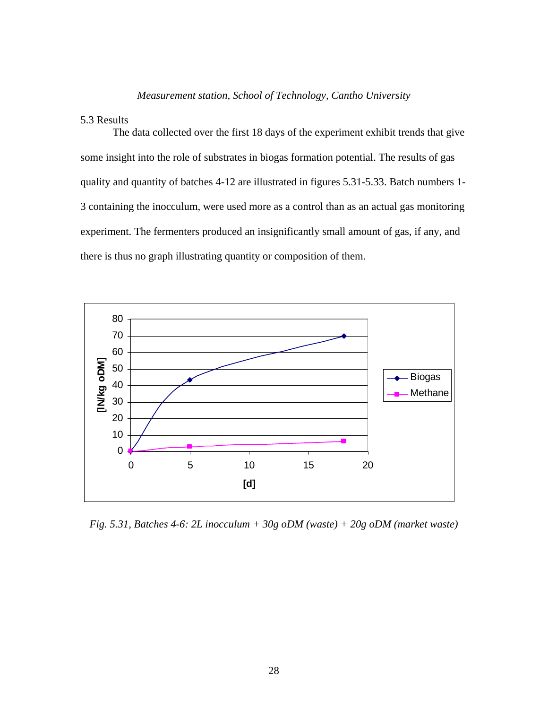## *Measurement station, School of Technology, Cantho University*

## 5.3 Results

 The data collected over the first 18 days of the experiment exhibit trends that give some insight into the role of substrates in biogas formation potential. The results of gas quality and quantity of batches 4-12 are illustrated in figures 5.31-5.33. Batch numbers 1- 3 containing the inocculum, were used more as a control than as an actual gas monitoring experiment. The fermenters produced an insignificantly small amount of gas, if any, and there is thus no graph illustrating quantity or composition of them.



*Fig. 5.31, Batches 4-6: 2L inocculum + 30g oDM (waste) + 20g oDM (market waste)*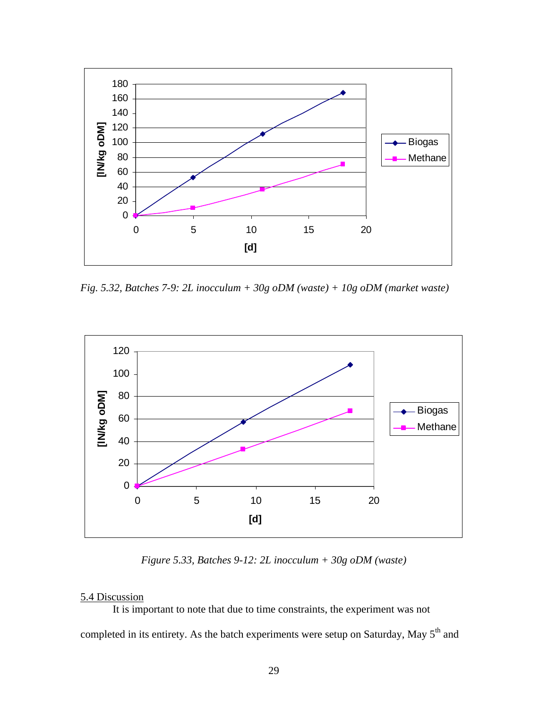

*Fig. 5.32, Batches 7-9: 2L inocculum + 30g oDM (waste) + 10g oDM (market waste)* 



*Figure 5.33, Batches 9-12: 2L inocculum + 30g oDM (waste)* 

## 5.4 Discussion

It is important to note that due to time constraints, the experiment was not completed in its entirety. As the batch experiments were setup on Saturday, May 5<sup>th</sup> and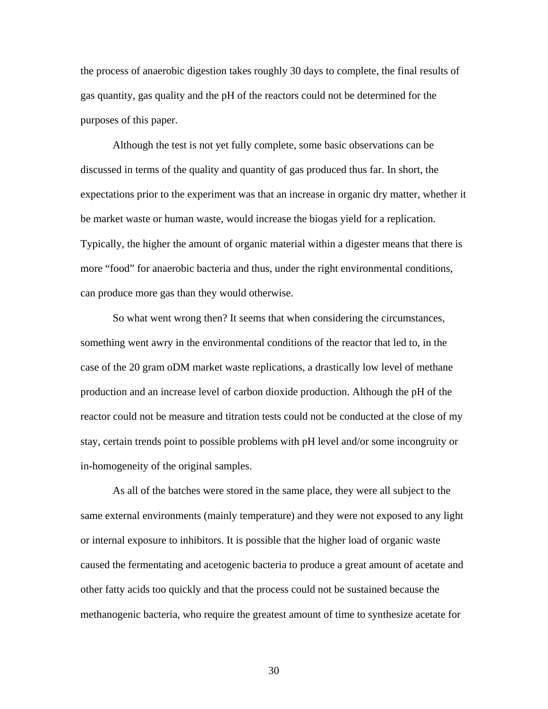the process of anaerobic digestion takes roughly 30 days to complete, the final results of gas quantity, gas quality and the pH of the reactors could not be determined for the purposes of this paper.

 Although the test is not yet fully complete, some basic observations can be discussed in terms of the quality and quantity of gas produced thus far. In short, the expectations prior to the experiment was that an increase in organic dry matter, whether it be market waste or human waste, would increase the biogas yield for a replication. Typically, the higher the amount of organic material within a digester means that there is more "food" for anaerobic bacteria and thus, under the right environmental conditions, can produce more gas than they would otherwise.

 So what went wrong then? It seems that when considering the circumstances, something went awry in the environmental conditions of the reactor that led to, in the case of the 20 gram oDM market waste replications, a drastically low level of methane production and an increase level of carbon dioxide production. Although the pH of the reactor could not be measure and titration tests could not be conducted at the close of my stay, certain trends point to possible problems with pH level and/or some incongruity or in-homogeneity of the original samples.

 As all of the batches were stored in the same place, they were all subject to the same external environments (mainly temperature) and they were not exposed to any light or internal exposure to inhibitors. It is possible that the higher load of organic waste caused the fermentating and acetogenic bacteria to produce a great amount of acetate and other fatty acids too quickly and that the process could not be sustained because the methanogenic bacteria, who require the greatest amount of time to synthesize acetate for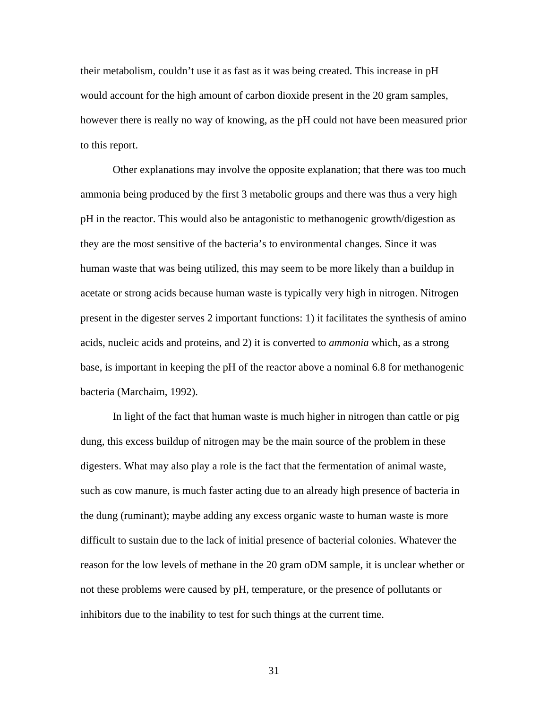their metabolism, couldn't use it as fast as it was being created. This increase in pH would account for the high amount of carbon dioxide present in the 20 gram samples, however there is really no way of knowing, as the pH could not have been measured prior to this report.

 Other explanations may involve the opposite explanation; that there was too much ammonia being produced by the first 3 metabolic groups and there was thus a very high pH in the reactor. This would also be antagonistic to methanogenic growth/digestion as they are the most sensitive of the bacteria's to environmental changes. Since it was human waste that was being utilized, this may seem to be more likely than a buildup in acetate or strong acids because human waste is typically very high in nitrogen. Nitrogen present in the digester serves 2 important functions: 1) it facilitates the synthesis of amino acids, nucleic acids and proteins, and 2) it is converted to *ammonia* which, as a strong base, is important in keeping the pH of the reactor above a nominal 6.8 for methanogenic bacteria (Marchaim, 1992).

 In light of the fact that human waste is much higher in nitrogen than cattle or pig dung, this excess buildup of nitrogen may be the main source of the problem in these digesters. What may also play a role is the fact that the fermentation of animal waste, such as cow manure, is much faster acting due to an already high presence of bacteria in the dung (ruminant); maybe adding any excess organic waste to human waste is more difficult to sustain due to the lack of initial presence of bacterial colonies. Whatever the reason for the low levels of methane in the 20 gram oDM sample, it is unclear whether or not these problems were caused by pH, temperature, or the presence of pollutants or inhibitors due to the inability to test for such things at the current time.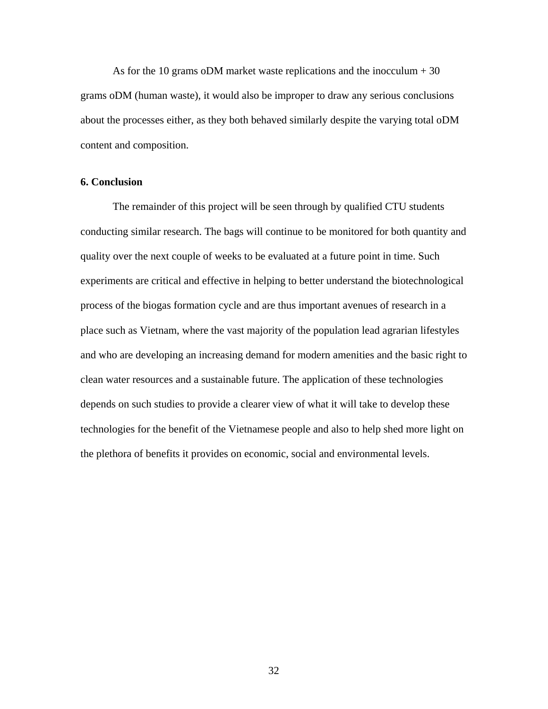As for the 10 grams oDM market waste replications and the inocculum  $+30$ grams oDM (human waste), it would also be improper to draw any serious conclusions about the processes either, as they both behaved similarly despite the varying total oDM content and composition.

#### **6. Conclusion**

The remainder of this project will be seen through by qualified CTU students conducting similar research. The bags will continue to be monitored for both quantity and quality over the next couple of weeks to be evaluated at a future point in time. Such experiments are critical and effective in helping to better understand the biotechnological process of the biogas formation cycle and are thus important avenues of research in a place such as Vietnam, where the vast majority of the population lead agrarian lifestyles and who are developing an increasing demand for modern amenities and the basic right to clean water resources and a sustainable future. The application of these technologies depends on such studies to provide a clearer view of what it will take to develop these technologies for the benefit of the Vietnamese people and also to help shed more light on the plethora of benefits it provides on economic, social and environmental levels.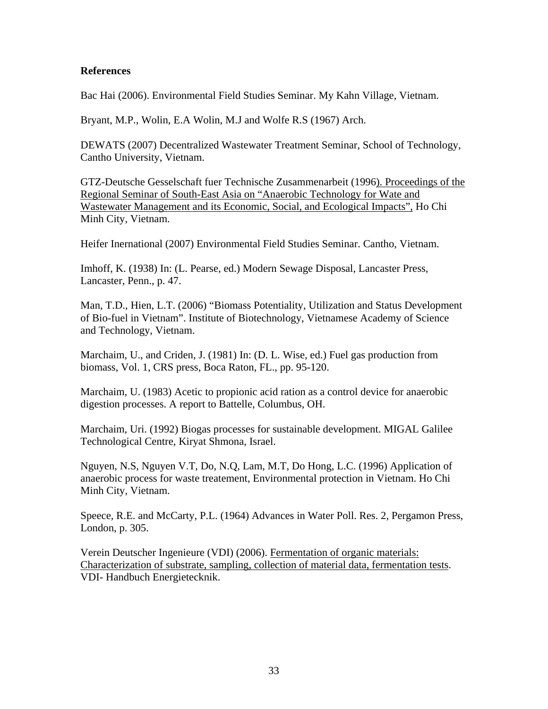## **References**

Bac Hai (2006). Environmental Field Studies Seminar. My Kahn Village, Vietnam.

Bryant, M.P., Wolin, E.A Wolin, M.J and Wolfe R.S (1967) Arch.

DEWATS (2007) Decentralized Wastewater Treatment Seminar, School of Technology, Cantho University, Vietnam.

GTZ-Deutsche Gesselschaft fuer Technische Zusammenarbeit (1996). Proceedings of the Regional Seminar of South-East Asia on "Anaerobic Technology for Wate and Wastewater Management and its Economic, Social, and Ecological Impacts", Ho Chi Minh City, Vietnam.

Heifer Inernational (2007) Environmental Field Studies Seminar. Cantho, Vietnam.

Imhoff, K. (1938) In: (L. Pearse, ed.) Modern Sewage Disposal, Lancaster Press, Lancaster, Penn., p. 47.

Man, T.D., Hien, L.T. (2006) "Biomass Potentiality, Utilization and Status Development of Bio-fuel in Vietnam". Institute of Biotechnology, Vietnamese Academy of Science and Technology, Vietnam.

Marchaim, U., and Criden, J. (1981) In: (D. L. Wise, ed.) Fuel gas production from biomass, Vol. 1, CRS press, Boca Raton, FL., pp. 95-120.

Marchaim, U. (1983) Acetic to propionic acid ration as a control device for anaerobic digestion processes. A report to Battelle, Columbus, OH.

Marchaim, Uri. (1992) Biogas processes for sustainable development. MIGAL Galilee Technological Centre, Kiryat Shmona, Israel.

Nguyen, N.S, Nguyen V.T, Do, N.Q, Lam, M.T, Do Hong, L.C. (1996) Application of anaerobic process for waste treatement, Environmental protection in Vietnam. Ho Chi Minh City, Vietnam.

Speece, R.E. and McCarty, P.L. (1964) Advances in Water Poll. Res. 2, Pergamon Press, London, p. 305.

Verein Deutscher Ingenieure (VDI) (2006). Fermentation of organic materials: Characterization of substrate, sampling, collection of material data, fermentation tests. VDI- Handbuch Energietecknik.